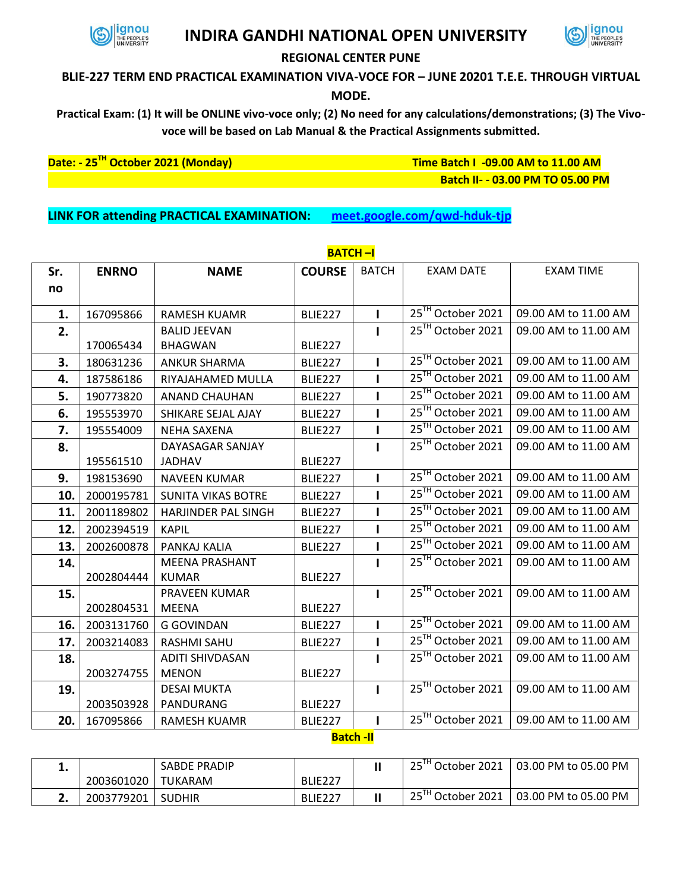

## **INDIRA GANDHI NATIONAL OPEN UNIVERSITY**



## **REGIONAL CENTER PUNE**

## **BLIE-227 TERM END PRACTICAL EXAMINATION VIVA-VOCE FOR – JUNE 20201 T.E.E. THROUGH VIRTUAL**

**MODE.**

**Practical Exam: (1) It will be ONLINE vivo-voce only; (2) No need for any calculations/demonstrations; (3) The Vivovoce will be based on Lab Manual & the Practical Assignments submitted.**

**Date: - 25TH October 2021 (Monday) Time Batch I -09.00 AM to 11.00 AM**

 **Batch II- - 03.00 PM TO 05.00 PM**

**LINK FOR attending PRACTICAL EXAMINATION: <meet.google.com/qwd-hduk-tjp>**

| Sr. | <b>ENRNO</b> | <b>NAME</b>                | <b>COURSE</b>  | <b>BATCH</b> | <b>EXAM DATE</b>              | <b>EXAM TIME</b>     |
|-----|--------------|----------------------------|----------------|--------------|-------------------------------|----------------------|
| no  |              |                            |                |              |                               |                      |
| 1.  | 167095866    | <b>RAMESH KUAMR</b>        |                | I.           | 25TH October 2021             | 09.00 AM to 11.00 AM |
|     |              | <b>BALID JEEVAN</b>        | <b>BLIE227</b> | $\mathbf{I}$ | 25 <sup>TH</sup> October 2021 | 09.00 AM to 11.00 AM |
| 2.  | 170065434    | <b>BHAGWAN</b>             | BLIE227        |              |                               |                      |
| 3.  | 180631236    | <b>ANKUR SHARMA</b>        | BLIE227        | $\mathbf{I}$ | 25TH October 2021             | 09.00 AM to 11.00 AM |
| 4.  |              |                            |                | I.           | 25TH October 2021             | 09.00 AM to 11.00 AM |
|     | 187586186    | RIYAJAHAMED MULLA          | BLIE227        |              | 25TH October 2021             |                      |
| 5.  | 190773820    | <b>ANAND CHAUHAN</b>       | BLIE227        | ı            |                               | 09.00 AM to 11.00 AM |
| 6.  | 195553970    | SHIKARE SEJAL AJAY         | <b>BLIE227</b> | ı            | 25TH October 2021             | 09.00 AM to 11.00 AM |
| 7.  | 195554009    | <b>NEHA SAXENA</b>         | BLIE227        | $\mathbf{I}$ | 25TH October 2021             | 09.00 AM to 11.00 AM |
| 8.  |              | DAYASAGAR SANJAY           |                | п            | 25 <sup>TH</sup> October 2021 | 09.00 AM to 11.00 AM |
|     | 195561510    | <b>JADHAV</b>              | BLIE227        |              |                               |                      |
| 9.  | 198153690    | <b>NAVEEN KUMAR</b>        | <b>BLIE227</b> | I.           | 25TH October 2021             | 09.00 AM to 11.00 AM |
| 10. | 2000195781   | <b>SUNITA VIKAS BOTRE</b>  | <b>BLIE227</b> | ı            | 25 <sup>TH</sup> October 2021 | 09.00 AM to 11.00 AM |
| 11. | 2001189802   | <b>HARJINDER PAL SINGH</b> | <b>BLIE227</b> | $\mathbf{I}$ | 25 <sup>TH</sup> October 2021 | 09.00 AM to 11.00 AM |
| 12. | 2002394519   | <b>KAPIL</b>               | BLIE227        | Т            | 25TH October 2021             | 09.00 AM to 11.00 AM |
| 13. | 2002600878   | PANKAJ KALIA               | BLIE227        | ı            | 25 <sup>TH</sup> October 2021 | 09.00 AM to 11.00 AM |
| 14. |              | <b>MEENA PRASHANT</b>      |                | $\mathbf{I}$ | 25TH October 2021             | 09.00 AM to 11.00 AM |
|     | 2002804444   | <b>KUMAR</b>               | BLIE227        |              |                               |                      |
| 15. |              | PRAVEEN KUMAR              |                | $\mathbf{I}$ | 25TH October 2021             | 09.00 AM to 11.00 AM |
|     | 2002804531   | <b>MEENA</b>               | BLIE227        |              |                               |                      |
| 16. | 2003131760   | <b>G GOVINDAN</b>          | <b>BLIE227</b> | I.           | 25TH October 2021             | 09.00 AM to 11.00 AM |
| 17. | 2003214083   | <b>RASHMI SAHU</b>         | BLIE227        | ı            | 25 <sup>TH</sup> October 2021 | 09.00 AM to 11.00 AM |
| 18. |              | <b>ADITI SHIVDASAN</b>     |                | $\mathbf{I}$ | 25TH October 2021             | 09.00 AM to 11.00 AM |
|     | 2003274755   | <b>MENON</b>               | BLIE227        |              |                               |                      |
| 19. |              | <b>DESAI MUKTA</b>         |                | $\mathbf{I}$ | 25 <sup>TH</sup> October 2021 | 09.00 AM to 11.00 AM |
|     | 2003503928   | PANDURANG                  | BLIE227        |              |                               |                      |
| 20. | 167095866    | <b>RAMESH KUAMR</b>        | <b>BLIE227</b> | п            | 25™ October 2021              | 09.00 AM to 11.00 AM |

## **BATCH –I**

**Batch -II**

| . . |            | SABDE PRADIP   |                     | $25$ <sup>IH</sup><br>October 2021 <sup>'</sup> | 03.00 PM to 05.00 PM |
|-----|------------|----------------|---------------------|-------------------------------------------------|----------------------|
|     | 2003601020 | <b>TUKARAM</b> | BLIE <sub>227</sub> |                                                 |                      |
|     | 2003779201 | <b>SUDHIR</b>  | BLIE <sub>227</sub> | $25$ <sup>TH</sup><br>October 2021              | 03.00 PM to 05.00 PM |